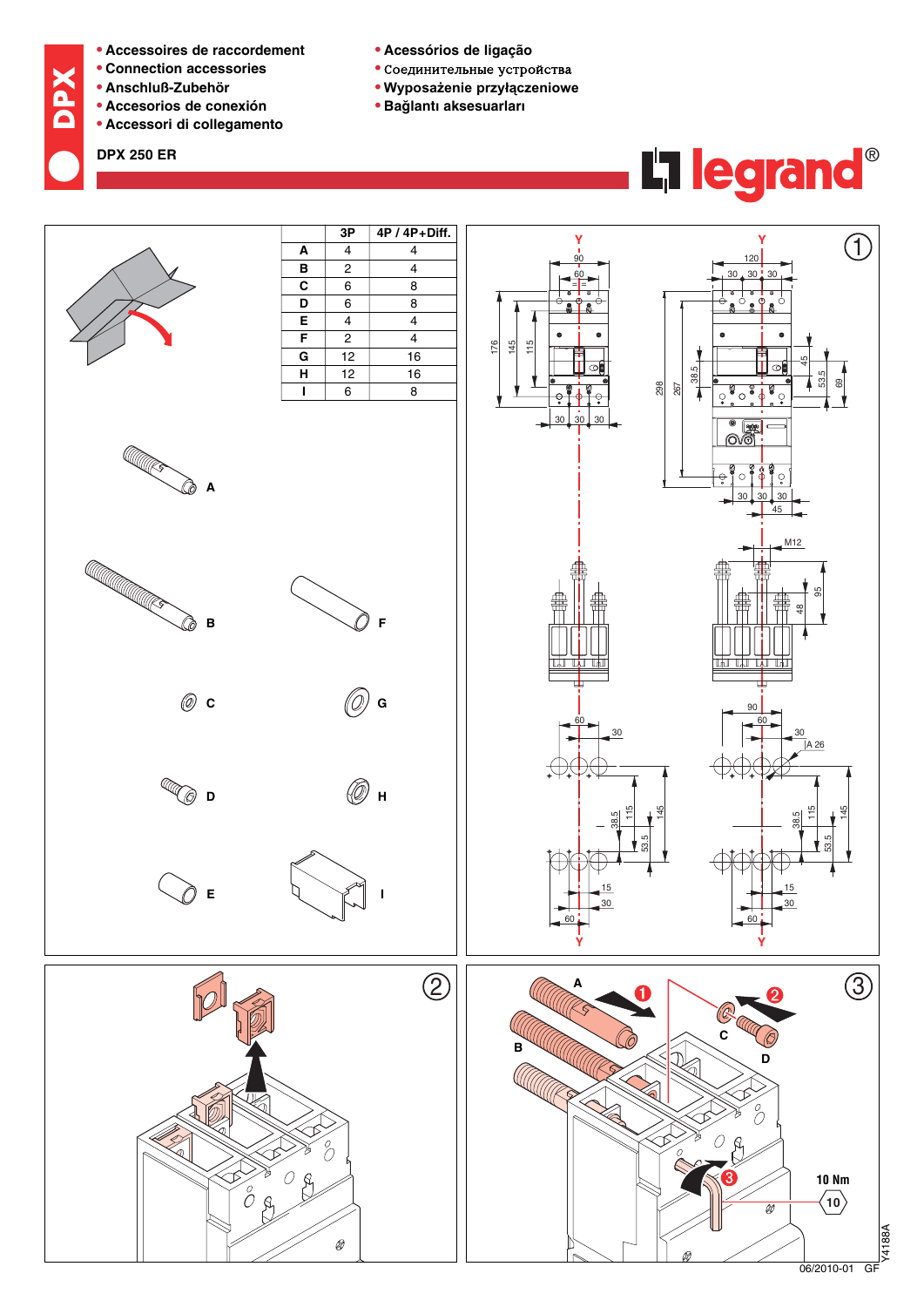- **• Accessoires de raccordement**
- **• Connection accessories**
- **• Anschluß-Zubehör**
- **• Accesorios de conexión**
- **• Accessori di collegamento**

**DPX 250 ER**

**NdQ** 

- Соединительные устройства
- **• Wyposażenie przyłączeniowe**
- **• Bag˘ lantı aksesuarları**